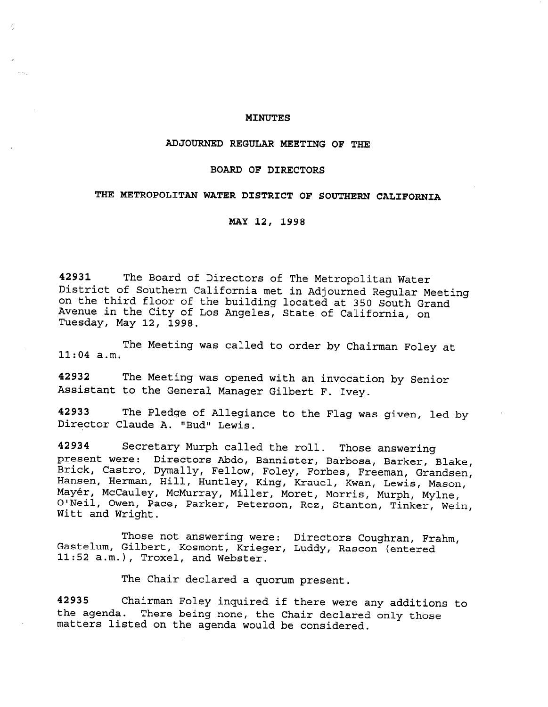### MINUTES

### ADJOURNED REGULAR MEETING OF THE

## BOARD OF DIRECTORS

## THE METROPOLITAN WATER DISTRICT OF SOUTHERN CALIFORNIA

MAY 12, 1998

42931 The Board of Directors of The Metropolitan Water District of Southern California met in Adjourned Regular Meeting on the third floor of the building located at 350 South Grand Avenue in the City of Los Angeles, State of California, on Tuesday, May 12, 1998.

11:04 a.m. The Meeting was called to order by Chairman Foley at

42932 The Meeting was opened with an invocation by Senior Assistant to the General Manager Gilbert F. Ivey.

42933 The Pledge of Allegiance to the Flag was given, led by Director Claude A. "Bud" Lewis.

42934 Secretary Murph called the roll. Those answering present were: Directors Abdo, Bannister, Barbosa, Barker, Blake, .<br>Brick, Castro, Dymally, Fellow, Foley, Forbes, Freeman, Grandsen Hansen, Herman, Hill, Huntley, King, Krauel, Kwan, Lewis, Mason, Mayér, McCauley, McMurray, Miller, Moret, Morris, Murph, Mylne, The Processing, Hondridg, Hirler, Horec, Horris, Murph, Myine,<br>O'Neil, Owen, Pace, Parker, Peterson, Rez, Stanton, Tinker, Wein,<br>Witt and Wright

Those not answering were: Directors Coughran, Frahm, Gastelum, Gilbert, Kosmont, Krieger, Luddy, Rascon (entered 11:52 a.m.), Troxel, and Webster.

The Chair declared a quorum present.

42935 Chairman Foley inquired if there were any additions to the agenda. There being none, the Chair declared only those matters listed on the agenda would be considered.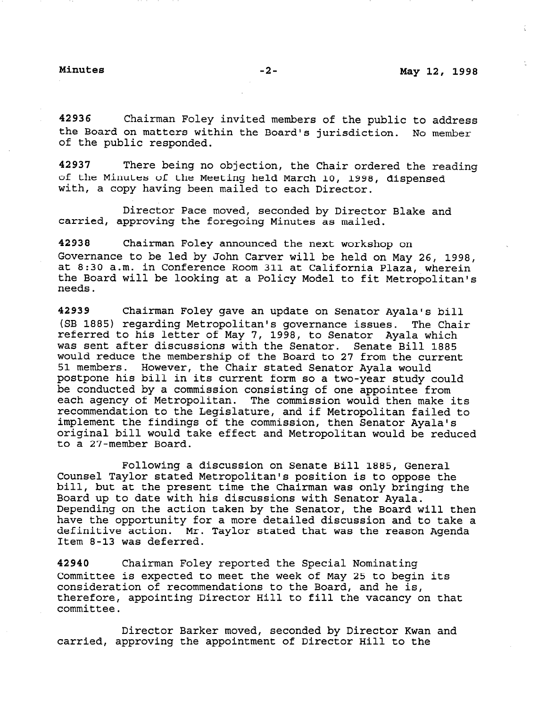42936 Chairman Foley invited members of the public to address the Board on matters within the Board's jurisdiction. No member of the public responded.

42937 There being no objection, the Chair ordered the reading of the Minutes of the Meeting held March 10, 1998, dispensed with, a copy having been mailed to each Director.

Director Pace moved, seconded by Director Blake and carried, approving the foregoing Minutes as mailed.

42938 Chairman Foley announced the next workshop on Governance to be led by John Carver will be held on May 26, 1998, at 8:30 a.m. in Conference Room 311 at California Plaza, wherein the Board will be looking at a Policy Model to fit Metropolitan's needs.

42939 Chairman Foley gave an update on Senator Ayala's bill (SB 1885) regarding Metropolitan's governance issues. The Chair referred to his letter of May 7, 1998, to Senator Ayala which was sent after discussions with the Senator. Senate Bill 1885 would reduce the membership of the Board to 27 from the current 51 members. However, the Chair stated Senator Ayala would postpone his bill in its current form so a two-year study could be conducted by a commission consisting of one appointee from each agency of Metropolitan. The commission would then make its recommendation to the Legislature, and if Metropolitan failed to implement the findings of the commission, then Senator Ayala's original bill would take effect and Metropolitan would be reduced to a 27-member Board.

Following a discussion on Senate Bill 1885, General Counsel Taylor stated Metropolitan's position is to oppose the bill, but at the present time the Chairman was only bringing the Board up to date with his discussions with Senator Ayala. Depending on the action taken by the Senator, the Board will then have the opportunity for a more detailed discussion and to take a have the opportunity for a more detailed discussion and to take a<br>definitive action. Mr. Taylor stated that was the reason Agenda Item 8-13 was deferred.

42940 Chairman Foley reported the Special Nominating Committee is expected to meet the week of May 25 to begin its committee is expected to meet the week of may 25 to begi consideration of recommendations to the Board, and he is,<br>therefore, appointing Director Hill to fill the vacancy on the cuereror

Director Barker moved, seconded by Director Kwan and prector barker moved, seconded by Director Kwar<br>carried, approximately the approximation of Director Hill to the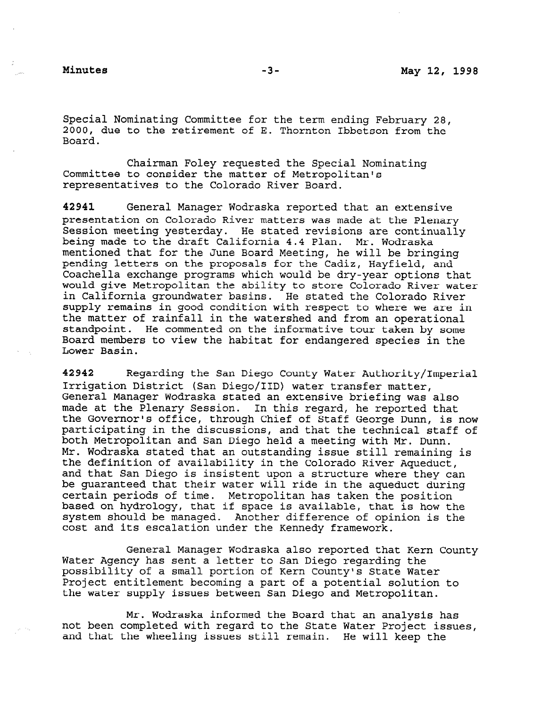Special Nominating Committee for the term ending February 28, 2000, due to the retirement of E. Thornton Ibbetson from the Board.

Chairman Foley requested the Special Nominating Committee to consider the matter of Metropolitan's representatives to the Colorado River Board.

42941 General Manager Wodraska reported that an extensive presentation on Colorado River matters was made at the Plenary Session meeting yesterday. He stated revisions are continually being made to the draft California 4.4 Plan. Mr. Wodraska mentioned that for the June Board Meeting, he will be bringing pending letters on the proposals for the Cadia, Hayfield, and pending iedeers on the proposars for the Cadiz, hayfield, and<br>Coachella exchange programs which would be dry-year ortiges that Coachella exchange programs which would be dry-year options that would give Metropolitan the ability to store Colorado River water in California groundwater basins. He stated the Colorado River supply remains in good condition with respect to where we are in the matter of rainfall in the watershed and from an operational stand point. He commented on the informative tour taken by some Board members to view the habitat for endangered species in the<br>Lower Basin.

 $\frac{1}{2}$ Izriz Character Can Diego County water Authority Irrigation District (San Diego/IID) water transfer matter, General Manager Wodraska stated an extensive briefing was also made at the Plenary Session. In this regard, he reported that the Governor's office, through Chief of Staff George Dunn, is now participating in the discussions, and that the technical staff of both Metropolitan and San Diego held a meeting with Mr. Dunn. Mr. Wodraska stated that an outstanding issue still remaining is the definition of availability in the Colorado River Aqueduct, and that San Diego is insistent upon a structure where they can be guaranteed that their water will ride in the aqueduct during certain periods of time. Metropolitan has taken the position based on hydrology, that if space is available, that is how the system should be managed. Another difference of opinion is the cost and its escalation under the Kennedy framework.

General Manager Wodraska also reported that Kern County Water Agency has sent a letter to San Diego regarding the possibility of a small portion of Kern County's State Water Project entitlement becoming a part of a potential solution to the water supply issues between San Diego and Metropolitan.  $M_{\rm H}$  , which is the Board that and an analysis has an analysis has an analysis has an analysis has an analysis has an analysis has a set of  $M_{\rm H}$ 

Mr. Wodraska informed the Board that an analysis has not been completed with regard to the State Water Project issues, and that the wheeling issues still remain. He will keep the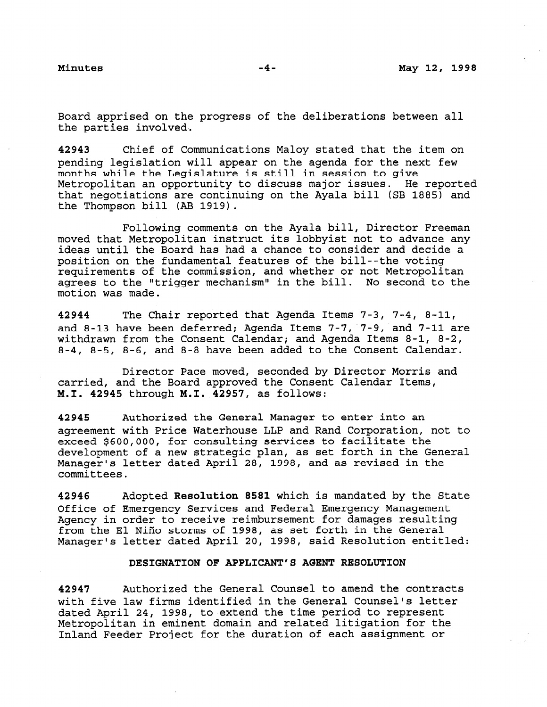Board apprised on the progress of the deliberations between all the parties involved.

42943 Chief of Communications Maloy stated that the item on pending legislation will appear on the agenda for the next few months while the Legislature is still in session to give Metropolitan an opportunity to discuss major issues. He reported that negotiations are continuing on the Ayala bill (SB 1885) and the Thompson bill (AB 1919).

Following comments on the Ayala bill, Director Freeman moved that Metropolitan instruct its lobbyist not to advance any ideas until the Board has had a chance to consider and decide a position on the fundamental features of the bill--the voting requirements of the commission, and whether or not Metropolitan agrees to the "trigger mechanism" in the bill. No second to the motion was made.

42944 The Chair reported that Agenda Items 7-3, 7-4, 8-11, and 8-13 have been deferred; Agenda Items 7-7, 7-9, and 7-11 are withdrawn from the Consent Calendar; and Agenda Items 8-1, 8-2, 8-4, 8-5, 8-6, and 8-8 have been added to the Consent Calendar.

Director Pace moved, seconded by Director Morris and carried, and the Board approved the Consent Calendar Items, M.I. 42945 through M.I. 42957, as follows:

42945 Authorized the General Manager to enter into an agreement with Price Waterhouse LLP and Rand Corporation, not to exceed \$600,000, for consulting services to facilitate the development of a new strategic plan, as set forth in the General Manager's letter dated April 28, 1998, and as revised in the committees.

42946 Adopted Resolution 8581 which is mandated by the State Office of Emergency Services and Federal Emergency Management Agency in order to receive reimbursement for damages resulting from the El Niño storms of 1998, as set forth in the General Manager's letter dated April 20, 1998, said Resolution entitled:

### DESIGNATION OF APPLICANT'S AGENT RESOLUTION

42947 Authorized the General Counsel to amend the contracts with five law firms identified in the General Counsel's letter dated April 24, 1998, to extend the time period to represent Metropolitan in eminent domain and related litigation for the Inland Feeder Project for the duration of each assignment or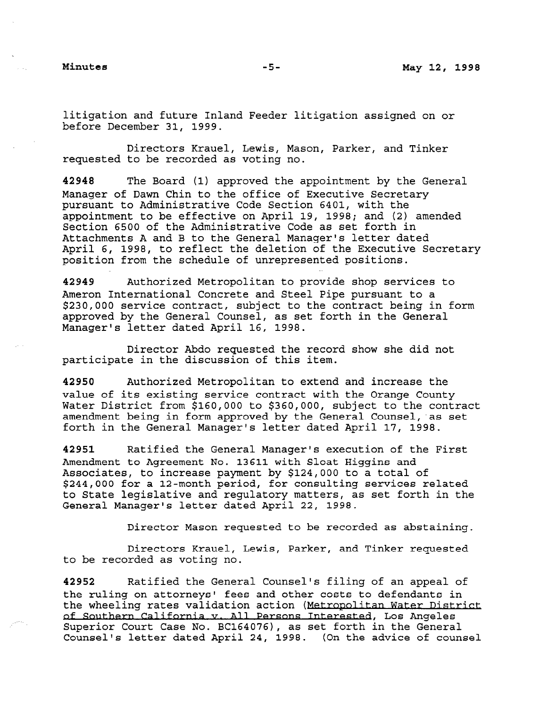litigation and future Inland Feeder litigation assigned on or before December 31, 1999.

Directors Krauel, Lewis, Mason, Parker, and Tinker requested to be recorded as voting no.

42940 The Board (1) approved the appointment by the General Manager of Dawn Chin to the office of Executive Secretary pursuant to Administrative Code Section 6401, with the appointment to be effective on April 19, 1998; and (2) amended Section 6500 of the Administrative Code as set forth in Attachments A and B to the General Manager's letter dated April 6, 1998, to reflect the deletion of the Executive Secretary position from the schedule of unrepresented positions.

42949 Authorized Metropolitan to provide shop services to Ameron International Concrete and Steel Pipe pursuant to a \$230,000 service contract, subject to the contract being in form approved by the General Counsel, as set forth in the General Manager's letter dated April 16, 1998.

Director Abdo requested the record show she did not participate in the discussion of this item.

42950 Authorized Metropolitan to extend and increase the value of its existing service contract with the Orange County Water District from \$160,000 to \$360,000, subject to the contract amendment being in form approved by the General Counsel, as set forth in the General Manager's letter dated April 17, 1998.

42951 Ratified the General Manager's execution of the First Amendment to Agreement No. 13611 with Sloat Higgins and Associates, to increase payment by \$124,000 to a total of \$244,000 for a 12-month period, for consulting services related to State legislative and regulatory matters, as set forth in the CO BLACE IEGIBLACIVE AND IEGUIACOLY MACCELS, a

Director Mason requested to be recorded as abstaining.

Directors Krauel, Lewis, Parker, and Tinker requested to be recorded as voting no.

42952 Ratified the General Counsel's filing of an appeal of the ruling on attorneys' fees and other costs to defendants in the ruiting on attorneys' lees and other<br>the charling value validation action (M the wheeling rates validation action (Metropolitian Water Dis Superior Court Case No. BC164076), as set forth in the General Superior Court Case No. BC1640767, as set forth in the General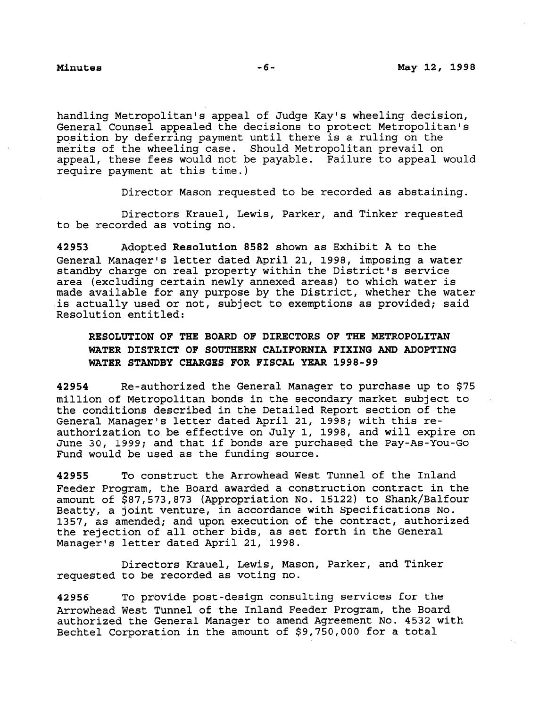handling Metropolitan's appeal of Judge Kay's wheeling decision, General Counsel appealed the decisions to protect Metropolitan's position by deferring payment until there is a ruling on the merits of the wheeling case. Should Metropolitan prevail on appeal, these fees would not be payable. Failure to appeal would require payment at this time.)

Director Mason requested to be recorded as abstaining.

Directors Krauel, Lewis, Parker, and Tinker requested to be recorded as voting no.

42953 Adopted Resolution 8582 shown as Exhibit A to the General Manager's letter dated April 21, 1998, imposing a water standby charge on real property within the District's service area (excluding certain newly annexed areas) to which water is made available for any purpose by the District, whether the water is actually used or not, subject to exemptions as provided; said Resolution entitled:

# RESOLUTION OF THE BOARD OF DIRECTORS OF THE METROPOLITAN WATER DISTRICT OF SOUTHERN CALIFORNIA FIXING AND ADOPTING WATER STANDBY CHARGES FOR FISCAL YEAR 1998-99

42954 Re-authorized the General Manager to purchase up to \$75 million of Metropolitan bonds in the secondary market subject to the conditions described in the Detailed Report section of the General Manager's letter dated April 21, 1998; with this reauthorization to be effective on July 1, 1998, and will expire on June 30, 1999; and that if bonds are purchased the Pay-As-You-Go Fund would be used as the funding source.

42955 To construct the Arrowhead West Tunnel of the Inland Feeder Program, the Board awarded a construction contract in the amount of \$87,573,873 (Appropriation No. 15122) to Shank/Balfour Beatty, a joint venture, in accordance with Specifications No. 1357, as amended; and upon execution of the contract, authorized the rejection of all other bids, as set forth in the General Manager's letter dated April 21, 1998.

Directors Krauel, Lewis, Mason, Parker, and Tinker requested to be recorded as voting no.

42956 To provide post-design consulting services for the Arrowhead West Tunnel of the Inland Feeder Program, the Board authorized the General Manager to amend Agreement No. 4532 with Bechtel Corporation in the amount of \$9,750,000 for a total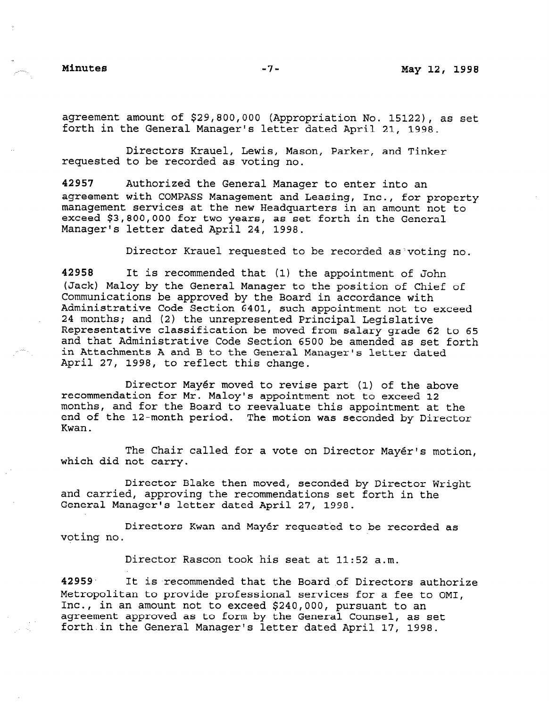agreement amount of \$29,800,000 (Appropriation No. 15122), as set forth in the General Manager's letter dated April 21, 1998.

Directors Krauel, Lewis, Mason, Parker, and Tinker requested to be recorded as voting no.

42957 Authorized the General Manager to enter into an agreement with COMPASS Management and Leasing, Inc., for property management services at the new Headquarters in an amount not to exceed  $$3,800,000$  for two years, as set forth in the General Manager's letter dated April 24, 1998.

Director Krauel requested to be recorded as'voting no.

42958 It is recommended that (1) the appointment of John (Jack) Maloy by the General Manager to the position of Computer to the position of Chief of Chief of Chief of Chief of Chief of Chief of Chief of Chief of Chief of Chief of Chief of Chief of Chief of Chief of Chief of Chie (back) maloy by the General Manager to the position of Ch Communications be approved by the Board in accordance with Administrative Code Section 6401, such appointment not to exceed 24 months; and (2) the unrepresented Principal Legislative Representative classification be moved from salary grade 62 to 65 and that Administrative Code Section 6500 be amended as set forth in Attachments A and B to the General Manager's letter dated April 27, 1998, to reflect this change.

Director Mayer moved to revise part (1) of the above plinector Mayer moved to revise part (1) of the about recommendation for Mr. Maloy's appointment not to exceed 12 months, and for the Board to reevaluate this appointment at the end of the 12-month period. The motion was seconded by Director Kwan.

The Chair called for a vote on Director Mayér's motion,<br>which did not carry.

Director Blake then moved, seconded by Director Wright and carried, approving the recommendations set forth in the General Manager's letter dated April 27, 1998.

Directors Kwan and Mayér requested to be recorded as voting no.

Director Rascon took his seat at 11:52 a.m.  $42959.$  It is the Board . It is the Board . It is the Board . It is the Board . Of Directors authorize authorize

42959 It is recommended that the Board of Directors authorize Metropolitan to provide professional services for a fee to OMI, Inc., in an amount not to exceed \$240,000, pursuant to an agreement approved as to form by the General Counsel, as set forth in the General Manager's letter dated April 17, 1998.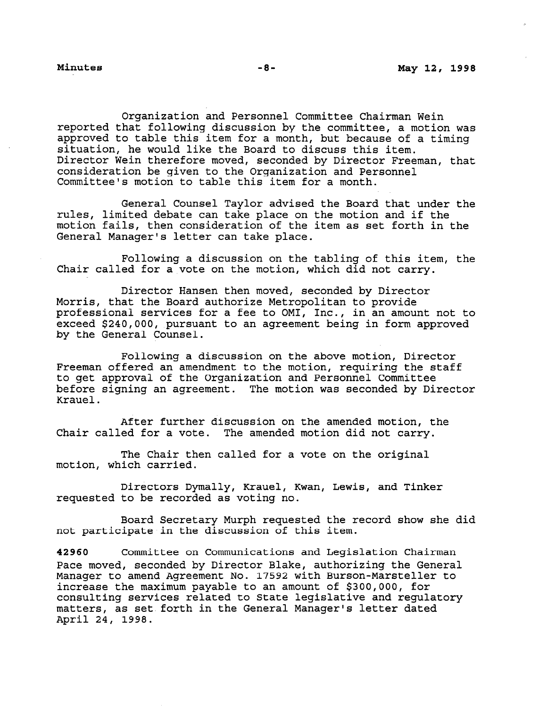Organization and Personnel Committee Chairman Wein reported that following discussion by the committee, a motion was approved to table this item for a month, but because of a timing situation, he would like the Board to discuss this item. Director Wein therefore moved, seconded by Director Freeman, that consideration be given to the Organization and Personnel Committee's motion to table this item for a month.

General Counsel Taylor advised the Board that under the rules, limited debate can take place on the motion and if the motion fails, then consideration of the item as set forth in the General Manager's letter can take place.

Following a discussion on the tabling of this item, the Chair called for a vote on the motion, which did not carry.

Director Hansen then moved, seconded by Director Morris, that the Board authorize Metropolitan to provide professional services for a fee to OMI, Inc., in an amount not to exceed \$240,000, pursuant to an agreement being in form approved by the General Counsel.

Following a discussion on the above motion, Director Freeman offered an amendment to the motion, requiring the staff to get approval of the Organization and Personnel Committee before signing an agreement. The motion was seconded by Director Krauel.

After further discussion on the amended motion, the Chair called for a vote. The amended motion did not carry.

The Chair then called for a vote on the original motion, which carried.

Directors Dymally, Krauel, Kwan, Lewis, and Tinker requested to be recorded as voting no.

Board Secretary Murph requested the record show she did not participate in the discussion of this item.

42960 Committee on Communications and Legislation Chairman Pace moved, seconded by Director Blake, authorizing the General Pace moved, seconded by Director Blake, authorizing the General<br>Manager to amend Agreement Na 17500 with Burson-Marsteller to manager to amend agreement no. 17532 with Burson-Marstelle increase the maximum payable to an amount of \$300,000, for consulting services related to State legislative and regulatory matters, as set forth in the General Manager's letter dated<br>April 24, 1998.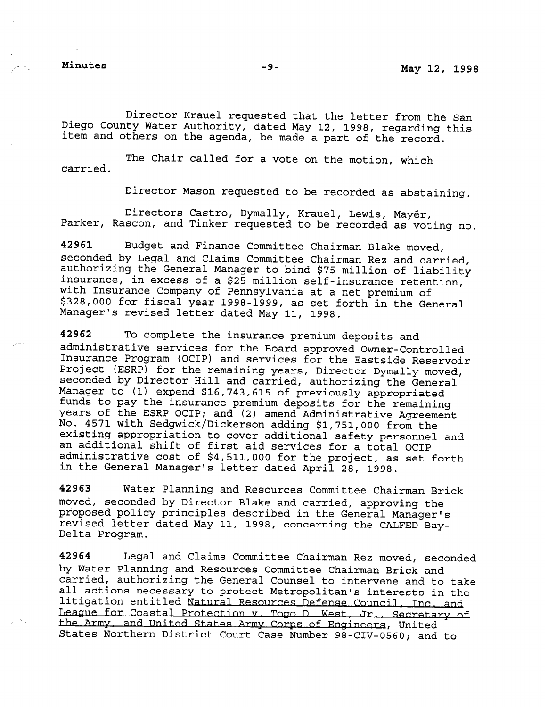Director Krauel requested that the letter from the San Diego County Water Authority, dated May 12, 1998, regarding this item and others on the agenda, be made a part of the record

carried. The Chair called for a vote on the motion, which

Director Mason requested to be recorded as abstaining.

Directors Castro, Dymally, Krauel, Lewis, Mayer, Parker, Rascon, and Tinker requested to be recorded as voting no.

42961 Budget and Finance Committee Chairman Blake moved, seconded by Legal and Claims Committee Chairman Rez and carried, authorizing the General Manager to bind \$75 million of liability insurance, in excess of a \$25 million self-insurance retention, with Insurance Company of Pennsylvania at a net premium of \$328,000 for fiscal year 1998-1999, as set forth in the General Manager's revised letter dated May 11, 1998.

42962 To complete the insurance premium deposits and administrative services for the Board approved Owner-Controlled Insurance Program (OCIP) and services for the Eastside Reservoir Project (ESRP) for the remaining years, Director Dymally moved, seconded by Director Hill and carried, authorizing the General Manager to (1) expend \$16,743,615 of previously appropriated funds to pay the insurance premium deposits for the remaining years of the ESRP OCIP; and (2) amend Administrative Agreement No. 4571 with Sedgwick/Dickerson adding \$1,751,000 from the existing appropriation to cover additional safety personnel and an additional shift of first aid services for a total OCIP administrative cost of \$4,511,000 for the project, as set forth administractve COSC Of 94,311,000 IOF CHE DIOJECE, as

42963 Water Planning and Resources Committee Chairman Brick moved, seconded by Director Blake and carried, approximate the state and the second the second the state of the moved, seconded by birector blake and carried, approving the proposed policy principles described in the General Manager's Delta Program. a in the central manager.<br>Concerning the CALFED Bay

42964 Legal and Claims Committee Chairman Rez moved, seconded by Water Planning and Resources Committee Chairman Rez moveu, Sec by water rianning and Resources Committee Chairman Brick and carried, authorizing the General Counsel to intervene and to take all actions necessary to protect Metropolitan's interests in the<br>litigation entitled Natural Resources Defense Council, Inc. and League for Coastal Protection v. Togo D. West, Jr., Secretary of the Army, and United States Army Corps of Engineers, United States Northern District Court Case Number 98-CIV-0560; and to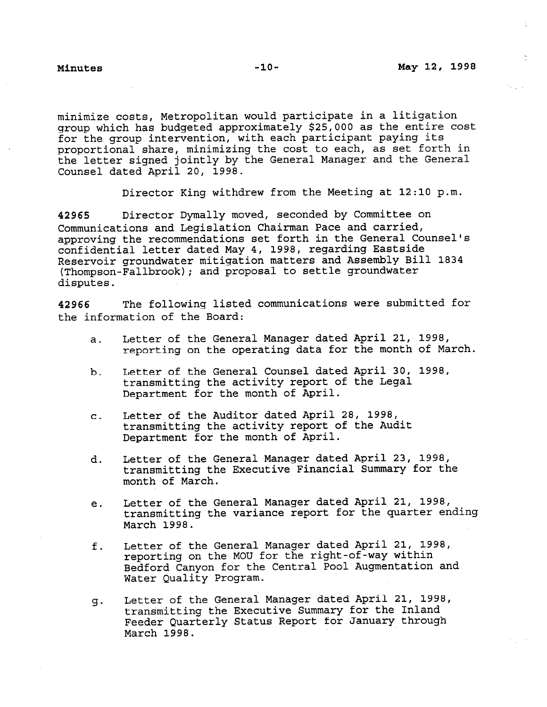.

minimize costs, Metropolitan would participate in a litigation group which has budgeted approximately \$25,000 as the entire cost for the group intervention, with each participant paying its proportional share, minimizing the cost to each, as set forth in the letter signed jointly by the General Manager and the General Counsel dated April 20, 1998.

Director King withdrew from the Meeting at 12:10 p.m.

42965 Director Dymally moved, seconded by Committee on Communications and Legislation Chairman Pace and carried, approving the recommendations set forth in the General Counsel's confidential letter dated May 4, 1998, regarding Eastside Reservoir groundwater mitigation matters and Assembly Bill 1834 (Thompson-Fallbrook); and proposal to settle groundwater disputes.

42966 The following listed communications were submitted for the information of the Board:

- a. Letter of the General Manager dated April 21, 1998, reporting on the operating data for the month of March.
- b. Letter of the General Counsel dated April 30, 1998, transmitting the activity report of the Legal Department for the month of April.
- C. Letter of the Auditor dated April 28, 1998, transmitting the activity report of the Audit Department for the month of April.
- d. Letter of the General Manager dated April 23, 1998, transmitting the Executive Financial Summary for the month of March.
- e. Letter of the General Manager dated April 21, 1998, transmitting the variance report for the quarter ending March 1998.
- f. Letter of the General Manager dated April 21, 1998, reporting on the MOU for the right-of-way within Bedford Canyon for the Central Pool Augmentation and Water Quality Program.
- 23. Letter of the General Manager dated April 21, 1998, transmitting the Executive Summary for the Inland Feeder Quarterly Status Report for January through March 1998.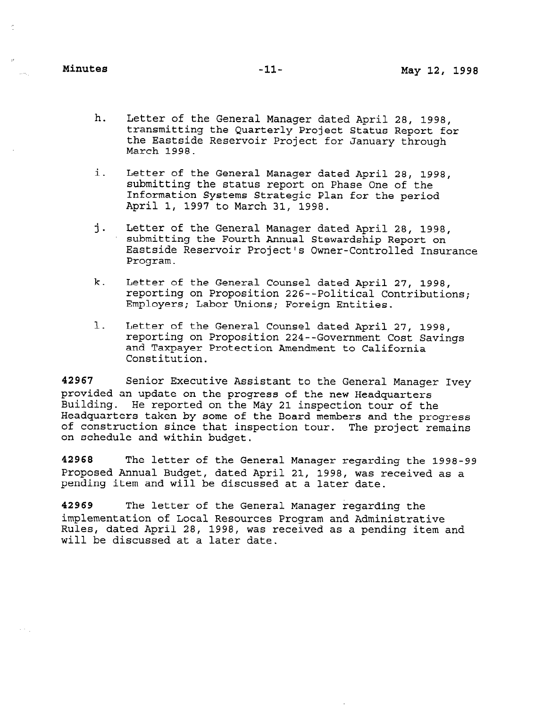$\alpha \rightarrow \beta_1$ 

- h. Letter of the General Manager dated April 28, 1998, transmitting the Quarterly Project Status Report for the Eastside Reservoir Project for January through March 1998.
- i. Letter of the General Manager dated April 28, 1998, submitting the status report on Phase One of the Information Systems Strategic Plan for the period April 1, 1997 to March 31, 1998.
- j. Letter of the General Manager dated April 28, 1998, submitting the Fourth Annual Stewardship Report on Eastside Reservoir Project's Owner-Controlled Insurance Program.
- k. Letter of the General Counsel dated April 27, 1998, reporting on Proposition 226--Political Contributions; reporting on Proposition 226--Political Contributions;<br>Employers; Labor Unions; Foreign Entities.
- 1. Letter of the General Counsel dated April 27, 1998, reporting on the General Counsel dated April 27, 1998, reporting on Proposition 224--Government Cost Savings and Taxpayer Protection Amendment to California<br>Constitution.

 $\frac{1}{2}$ provided and update an update on the General Managers of the General Managers of the  $\frac{1}{2}$ provided an update on the progress of the new Headquarters Building. He reported on the May 21 inspection tour of the Headquarters taken by some of the Board members and the progress of construction since that inspection tour. The project remains on schedule and within budget.

42968 The letter of the General Manager regarding the 1998-99 Proposed Annual Budget, dated April 21, 1998, was received as a pending item and will be discussed at a later date.

42969 The letter of the General Manager regarding the implementation of Local Resources Program and Administrative Rules, dated April 28, 1998, was received as a pending item and will be discussed at a later date.

42969 The letter of the General Manager regarding the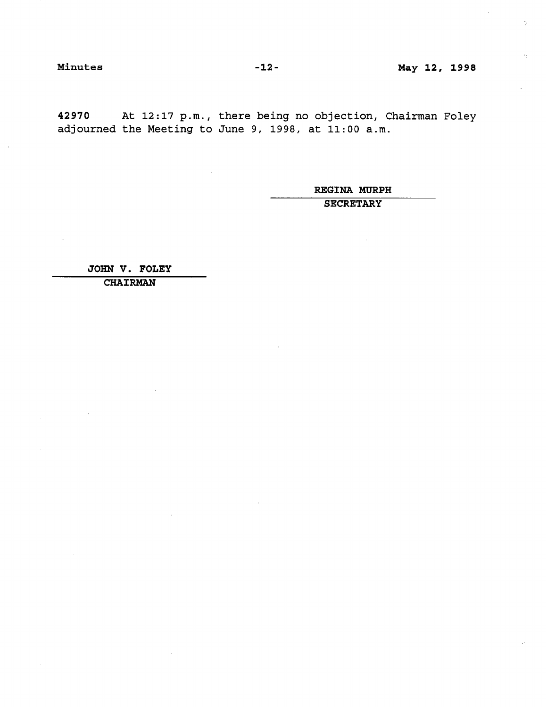42970 At 12:17 p.m., there being no objection, Chairman Foley adjourned the Meeting to June 9, 1998, at 11:OO a.m.

> REGINA MURPH **SECRETARY**

JOHN V. FOLEY

CHAIRMAN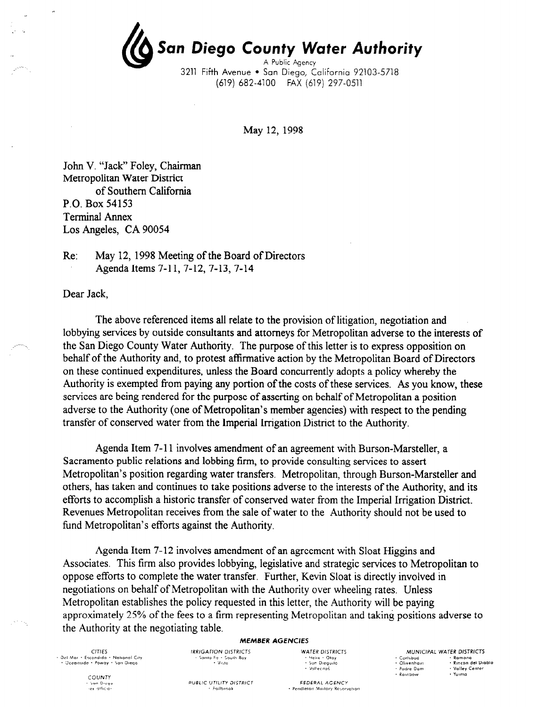San Diego County Water Authority A Public Agency 3211 Fifth Avenue · San Diego, California 92103-5718

(619) 682-4100 FAX (619) 297-0511

May 12, 1998

John V. "Jack" Foley, Chairman Metropolitan Water District of Southern California P.O. Box 54153 Terminal Annex Los Angeles, CA 90054

Re: May 12, 1998 Meeting of the Board of Directors Agenda Items 7-11, 7-12, 7-13, 7-14

Dear Jack,

The above referenced items all relate to the provision of litigation, negotiation and lobbying services by outside consultants and attorneys for Metropolitan adverse to the interests of the San Diego County Water Authority. The purpose of this letter is to express opposition on behalf of the Authority and, to protest affirmative action by the Metropolitan Board of Directors on these continued expenditures, unless the Board concurrently adopts a policy whereby the Authority is exempted from paying any portion of the costs of these services. As you know, these services are being rendered for the purpose of asserting on behalf of Metropolitan a position adverse to the Authority (one of Metropolitan's member agencies) with respect to the pending transfer of conserved water from the Imperial Irrigation District to the Authority.

Agenda Item 7-l 1 involves amendment of an agreement with Burson-Marsteller, a Sacramento public relations and lobbing firm, to provide consulting services to assert Metropolitan's position regarding water transfers. Metropolitan, through Burson-Marsteller and others, has taken and continues to take positions adverse to the interests of the Authority, and its efforts to accomplish a historic transfer of conserved water from the Imperial Irrigation District. Revenues Metropolitan receives from the sale of water to the Authority should not be used to fund Metropolitan's efforts against the Authority.

Agenda Item 7-12 involves amendment of an agreement with Sloat Higgins and Associates. This firm also provides lobbying, legislative and strategic services to Metropolitan to oppose efforts to complete the water transfer. Further, Kevin Sloat is directly involved in negotiations on behalf of Metropolitan with the Authority over wheeling rates. Unless Metropolitan establishes the policy requested in this letter, the Authority will be paying approximately 25% of the fees to a firm representing Metropolitan and taking positions adverse to the Authority at the negotiating table.

### MEMBER AGENCIES

| CITIES.                                | <b>IRRIGATION DISTRICTS</b> | <b>WATER DISTRICTS</b> |
|----------------------------------------|-----------------------------|------------------------|
| - Del Mar - Escondido - National City. | - Santa Fe - South Bav      | - Henx - Otav          |
| • Oceanside • Poway • San Diego        | + Vista                     | + Sun Dieguito         |
|                                        |                             | * Vallecitas           |

MUNICIPAL WATER DISTRICTS + Carlsbad<br>+ Olivenha blo  $-2$ odre De · Rainbow

COUNTY San Diego<br>Tox othera

**PURLIC UTILITY DISTRICT** -<br>- Failbrool

Valleritas FEDERAL AGENCY · Pendleton Mustary Reservation

|   | • Ramona          |
|---|-------------------|
| m | • Rincon del Diat |
| m | • Valley Center   |
|   | • Yuima           |